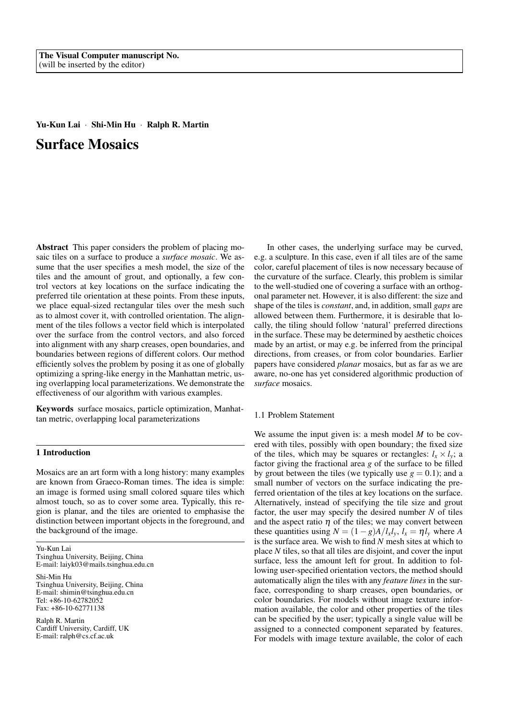# Yu-Kun Lai · Shi-Min Hu · Ralph R. Martin Surface Mosaics

Abstract This paper considers the problem of placing mosaic tiles on a surface to produce a *surface mosaic*. We assume that the user specifies a mesh model, the size of the tiles and the amount of grout, and optionally, a few control vectors at key locations on the surface indicating the preferred tile orientation at these points. From these inputs, we place equal-sized rectangular tiles over the mesh such as to almost cover it, with controlled orientation. The alignment of the tiles follows a vector field which is interpolated over the surface from the control vectors, and also forced into alignment with any sharp creases, open boundaries, and boundaries between regions of different colors. Our method efficiently solves the problem by posing it as one of globally optimizing a spring-like energy in the Manhattan metric, using overlapping local parameterizations. We demonstrate the effectiveness of our algorithm with various examples.

Keywords surface mosaics, particle optimization, Manhattan metric, overlapping local parameterizations

## 1 Introduction

Mosaics are an art form with a long history: many examples are known from Graeco-Roman times. The idea is simple: an image is formed using small colored square tiles which almost touch, so as to cover some area. Typically, this region is planar, and the tiles are oriented to emphasise the distinction between important objects in the foreground, and the background of the image.

Yu-Kun Lai Tsinghua University, Beijing, China E-mail: laiyk03@mails.tsinghua.edu.cn

Shi-Min Hu Tsinghua University, Beijing, China E-mail: shimin@tsinghua.edu.cn Tel: +86-10-62782052 Fax: +86-10-62771138

Ralph R. Martin Cardiff University, Cardiff, UK E-mail: ralph@cs.cf.ac.uk

In other cases, the underlying surface may be curved, e.g. a sculpture. In this case, even if all tiles are of the same color, careful placement of tiles is now necessary because of the curvature of the surface. Clearly, this problem is similar to the well-studied one of covering a surface with an orthogonal parameter net. However, it is also different: the size and shape of the tiles is *constant*, and, in addition, small *gaps* are allowed between them. Furthermore, it is desirable that locally, the tiling should follow 'natural' preferred directions in the surface. These may be determined by aesthetic choices made by an artist, or may e.g. be inferred from the principal directions, from creases, or from color boundaries. Earlier papers have considered *planar* mosaics, but as far as we are aware, no-one has yet considered algorithmic production of *surface* mosaics.

## 1.1 Problem Statement

We assume the input given is: a mesh model *M* to be covered with tiles, possibly with open boundary; the fixed size of the tiles, which may be squares or rectangles:  $l_x \times l_y$ ; a factor giving the fractional area *g* of the surface to be filled by grout between the tiles (we typically use  $g = 0.1$ ); and a small number of vectors on the surface indicating the preferred orientation of the tiles at key locations on the surface. Alternatively, instead of specifying the tile size and grout factor, the user may specify the desired number *N* of tiles and the aspect ratio  $\eta$  of the tiles; we may convert between these quantities using  $N = (1 - g)A/l_x l_y$ ,  $l_x = \eta l_y$  where *A* is the surface area. We wish to find *N* mesh sites at which to place *N* tiles, so that all tiles are disjoint, and cover the input surface, less the amount left for grout. In addition to following user-specified orientation vectors, the method should automatically align the tiles with any *feature lines* in the surface, corresponding to sharp creases, open boundaries, or color boundaries. For models without image texture information available, the color and other properties of the tiles can be specified by the user; typically a single value will be assigned to a connected component separated by features. For models with image texture available, the color of each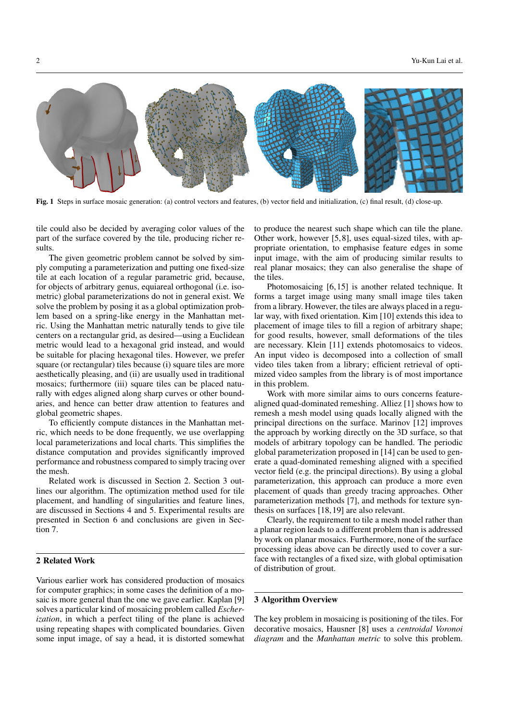

Fig. 1 Steps in surface mosaic generation: (a) control vectors and features, (b) vector field and initialization, (c) final result, (d) close-up.

tile could also be decided by averaging color values of the part of the surface covered by the tile, producing richer results.

The given geometric problem cannot be solved by simply computing a parameterization and putting one fixed-size tile at each location of a regular parametric grid, because, for objects of arbitrary genus, equiareal orthogonal (i.e. isometric) global parameterizations do not in general exist. We solve the problem by posing it as a global optimization problem based on a spring-like energy in the Manhattan metric. Using the Manhattan metric naturally tends to give tile centers on a rectangular grid, as desired—using a Euclidean metric would lead to a hexagonal grid instead, and would be suitable for placing hexagonal tiles. However, we prefer square (or rectangular) tiles because (i) square tiles are more aesthetically pleasing, and (ii) are usually used in traditional mosaics; furthermore (iii) square tiles can be placed naturally with edges aligned along sharp curves or other boundaries, and hence can better draw attention to features and global geometric shapes.

To efficiently compute distances in the Manhattan metric, which needs to be done frequently, we use overlapping local parameterizations and local charts. This simplifies the distance computation and provides significantly improved performance and robustness compared to simply tracing over the mesh.

Related work is discussed in Section 2. Section 3 outlines our algorithm. The optimization method used for tile placement, and handling of singularities and feature lines, are discussed in Sections 4 and 5. Experimental results are presented in Section 6 and conclusions are given in Section 7.

# 2 Related Work

Various earlier work has considered production of mosaics for computer graphics; in some cases the definition of a mosaic is more general than the one we gave earlier. Kaplan [9] solves a particular kind of mosaicing problem called *Escherization*, in which a perfect tiling of the plane is achieved using repeating shapes with complicated boundaries. Given some input image, of say a head, it is distorted somewhat to produce the nearest such shape which can tile the plane. Other work, however [5,8], uses equal-sized tiles, with appropriate orientation, to emphasise feature edges in some input image, with the aim of producing similar results to real planar mosaics; they can also generalise the shape of the tiles.

Photomosaicing [6,15] is another related technique. It forms a target image using many small image tiles taken from a library. However, the tiles are always placed in a regular way, with fixed orientation. Kim [10] extends this idea to placement of image tiles to fill a region of arbitrary shape; for good results, however, small deformations of the tiles are necessary. Klein [11] extends photomosaics to videos. An input video is decomposed into a collection of small video tiles taken from a library; efficient retrieval of optimized video samples from the library is of most importance in this problem.

Work with more similar aims to ours concerns featurealigned quad-dominated remeshing. Alliez [1] shows how to remesh a mesh model using quads locally aligned with the principal directions on the surface. Marinov [12] improves the approach by working directly on the 3D surface, so that models of arbitrary topology can be handled. The periodic global parameterization proposed in [14] can be used to generate a quad-dominated remeshing aligned with a specified vector field (e.g. the principal directions). By using a global parameterization, this approach can produce a more even placement of quads than greedy tracing approaches. Other parameterization methods [7], and methods for texture synthesis on surfaces [18,19] are also relevant.

Clearly, the requirement to tile a mesh model rather than a planar region leads to a different problem than is addressed by work on planar mosaics. Furthermore, none of the surface processing ideas above can be directly used to cover a surface with rectangles of a fixed size, with global optimisation of distribution of grout.

## 3 Algorithm Overview

The key problem in mosaicing is positioning of the tiles. For decorative mosaics, Hausner [8] uses a *centroidal Voronoi diagram* and the *Manhattan metric* to solve this problem.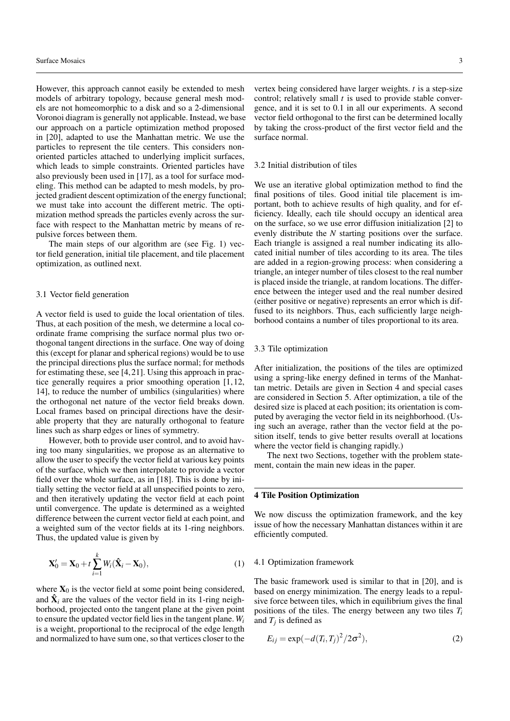However, this approach cannot easily be extended to mesh models of arbitrary topology, because general mesh models are not homeomorphic to a disk and so a 2-dimensional Voronoi diagram is generally not applicable. Instead, we base our approach on a particle optimization method proposed in [20], adapted to use the Manhattan metric. We use the particles to represent the tile centers. This considers nonoriented particles attached to underlying implicit surfaces, which leads to simple constraints. Oriented particles have also previously been used in [17], as a tool for surface modeling. This method can be adapted to mesh models, by projected gradient descent optimization of the energy functional; we must take into account the different metric. The optimization method spreads the particles evenly across the surface with respect to the Manhattan metric by means of repulsive forces between them.

The main steps of our algorithm are (see Fig. 1) vector field generation, initial tile placement, and tile placement optimization, as outlined next.

## 3.1 Vector field generation

A vector field is used to guide the local orientation of tiles. Thus, at each position of the mesh, we determine a local coordinate frame comprising the surface normal plus two orthogonal tangent directions in the surface. One way of doing this (except for planar and spherical regions) would be to use the principal directions plus the surface normal; for methods for estimating these, see [4,21]. Using this approach in practice generally requires a prior smoothing operation [1,12, 14], to reduce the number of umbilics (singularities) where the orthogonal net nature of the vector field breaks down. Local frames based on principal directions have the desirable property that they are naturally orthogonal to feature lines such as sharp edges or lines of symmetry.

However, both to provide user control, and to avoid having too many singularities, we propose as an alternative to allow the user to specify the vector field at various key points of the surface, which we then interpolate to provide a vector field over the whole surface, as in [18]. This is done by initially setting the vector field at all unspecified points to zero, and then iteratively updating the vector field at each point until convergence. The update is determined as a weighted difference between the current vector field at each point, and a weighted sum of the vector fields at its 1-ring neighbors. Thus, the updated value is given by

$$
\mathbf{X}'_0 = \mathbf{X}_0 + t \sum_{i=1}^k W_i (\hat{\mathbf{X}}_i - \mathbf{X}_0), \tag{1}
$$

where  $X_0$  is the vector field at some point being considered, and  $\hat{\mathbf{X}}_i$  are the values of the vector field in its 1-ring neighborhood, projected onto the tangent plane at the given point to ensure the updated vector field lies in the tangent plane. *W<sup>i</sup>* is a weight, proportional to the reciprocal of the edge length and normalized to have sum one, so that vertices closer to the

vertex being considered have larger weights. *t* is a step-size control; relatively small *t* is used to provide stable convergence, and it is set to 0.1 in all our experiments. A second vector field orthogonal to the first can be determined locally by taking the cross-product of the first vector field and the surface normal.

#### 3.2 Initial distribution of tiles

We use an iterative global optimization method to find the final positions of tiles. Good initial tile placement is important, both to achieve results of high quality, and for efficiency. Ideally, each tile should occupy an identical area on the surface, so we use error diffusion initialization [2] to evenly distribute the *N* starting positions over the surface. Each triangle is assigned a real number indicating its allocated initial number of tiles according to its area. The tiles are added in a region-growing process: when considering a triangle, an integer number of tiles closest to the real number is placed inside the triangle, at random locations. The difference between the integer used and the real number desired (either positive or negative) represents an error which is diffused to its neighbors. Thus, each sufficiently large neighborhood contains a number of tiles proportional to its area.

## 3.3 Tile optimization

After initialization, the positions of the tiles are optimized using a spring-like energy defined in terms of the Manhattan metric. Details are given in Section 4 and special cases are considered in Section 5. After optimization, a tile of the desired size is placed at each position; its orientation is computed by averaging the vector field in its neighborhood. (Using such an average, rather than the vector field at the position itself, tends to give better results overall at locations where the vector field is changing rapidly.)

The next two Sections, together with the problem statement, contain the main new ideas in the paper.

## 4 Tile Position Optimization

We now discuss the optimization framework, and the key issue of how the necessary Manhattan distances within it are efficiently computed.

#### 4.1 Optimization framework

The basic framework used is similar to that in [20], and is based on energy minimization. The energy leads to a repulsive force between tiles, which in equilibrium gives the final positions of the tiles. The energy between any two tiles *T<sup>i</sup>* and  $T_j$  is defined as

$$
E_{ij} = \exp(-d(T_i, T_j)^2 / 2\sigma^2),\tag{2}
$$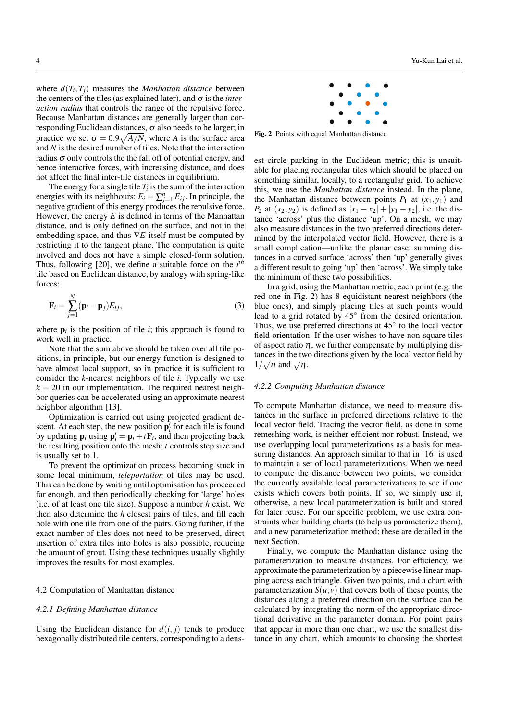where  $d(T_i, T_j)$  measures the *Manhattan distance* between the centers of the tiles (as explained later), and  $\sigma$  is the *interaction radius* that controls the range of the repulsive force. Because Manhattan distances are generally larger than corresponding Euclidean distances,  $\sigma$  also needs to be larger; in practice we set  $\sigma = 0.9\sqrt{A/N}$ , where *A* is the surface area and *N* is the desired number of tiles. Note that the interaction radius  $\sigma$  only controls the the fall off of potential energy, and hence interactive forces, with increasing distance, and does not affect the final inter-tile distances in equilibrium.

The energy for a single tile  $T_i$  is the sum of the interaction energies with its neighbours:  $E_i = \sum_{j=1}^n E_{ij}$ . In principle, the negative gradient of this energy produces the repulsive force. However, the energy *E* is defined in terms of the Manhattan distance, and is only defined on the surface, and not in the embedding space, and thus ∇*E* itself must be computed by restricting it to the tangent plane. The computation is quite involved and does not have a simple closed-form solution. Thus, following [20], we define a suitable force on the *i th* tile based on Euclidean distance, by analogy with spring-like forces:

$$
\mathbf{F}_i = \sum_{j=1}^N (\mathbf{p}_i - \mathbf{p}_j) E_{ij}, \tag{3}
$$

where  $\mathbf{p}_i$  is the position of tile  $i$ ; this approach is found to work well in practice.

Note that the sum above should be taken over all tile positions, in principle, but our energy function is designed to have almost local support, so in practice it is sufficient to consider the *k*-nearest neighbors of tile *i*. Typically we use  $k = 20$  in our implementation. The required nearest neighbor queries can be accelerated using an approximate nearest neighbor algorithm [13].

Optimization is carried out using projected gradient descent. At each step, the new position  $\mathbf{p}'_i$  for each tile is found by updating  $\mathbf{p}_i$  using  $\mathbf{p}'_i = \mathbf{p}_i + t\mathbf{F}_i$ , and then projecting back the resulting position onto the mesh; *t* controls step size and is usually set to 1.

To prevent the optimization process becoming stuck in some local minimum, *teleportation* of tiles may be used. This can be done by waiting until optimisation has proceeded far enough, and then periodically checking for 'large' holes (i.e. of at least one tile size). Suppose a number *h* exist. We then also determine the *h* closest pairs of tiles, and fill each hole with one tile from one of the pairs. Going further, if the exact number of tiles does not need to be preserved, direct insertion of extra tiles into holes is also possible, reducing the amount of grout. Using these techniques usually slightly improves the results for most examples.

#### 4.2 Computation of Manhattan distance

#### *4.2.1 Defining Manhattan distance*

Using the Euclidean distance for  $d(i, j)$  tends to produce hexagonally distributed tile centers, corresponding to a dens-



Fig. 2 Points with equal Manhattan distance

est circle packing in the Euclidean metric; this is unsuitable for placing rectangular tiles which should be placed on something similar, locally, to a rectangular grid. To achieve this, we use the *Manhattan distance* instead. In the plane, the Manhattan distance between points  $P_1$  at  $(x_1, y_1)$  and *P*<sub>2</sub> at  $(x_2, y_2)$  is defined as  $|x_1 - x_2| + |y_1 - y_2|$ , i.e. the distance 'across' plus the distance 'up'. On a mesh, we may also measure distances in the two preferred directions determined by the interpolated vector field. However, there is a small complication—unlike the planar case, summing distances in a curved surface 'across' then 'up' generally gives a different result to going 'up' then 'across'. We simply take the minimum of these two possibilities.

In a grid, using the Manhattan metric, each point (e.g. the red one in Fig. 2) has 8 equidistant nearest neighbors (the blue ones), and simply placing tiles at such points would lead to a grid rotated by 45° from the desired orientation. Thus, we use preferred directions at 45◦ to the local vector field orientation. If the user wishes to have non-square tiles of aspect ratio  $\eta$ , we further compensate by multiplying distances in the two directions given by the local vector field by tances in the two  $1/\sqrt{\eta}$  and  $\sqrt{\eta}$ .

#### *4.2.2 Computing Manhattan distance*

To compute Manhattan distance, we need to measure distances in the surface in preferred directions relative to the local vector field. Tracing the vector field, as done in some remeshing work, is neither efficient nor robust. Instead, we use overlapping local parameterizations as a basis for measuring distances. An approach similar to that in [16] is used to maintain a set of local parameterizations. When we need to compute the distance between two points, we consider the currently available local parameterizations to see if one exists which covers both points. If so, we simply use it, otherwise, a new local parameterization is built and stored for later reuse. For our specific problem, we use extra constraints when building charts (to help us parameterize them), and a new parameterization method; these are detailed in the next Section.

Finally, we compute the Manhattan distance using the parameterization to measure distances. For efficiency, we approximate the parameterization by a piecewise linear mapping across each triangle. Given two points, and a chart with parameterization  $S(u, v)$  that covers both of these points, the distances along a preferred direction on the surface can be calculated by integrating the norm of the appropriate directional derivative in the parameter domain. For point pairs that appear in more than one chart, we use the smallest distance in any chart, which amounts to choosing the shortest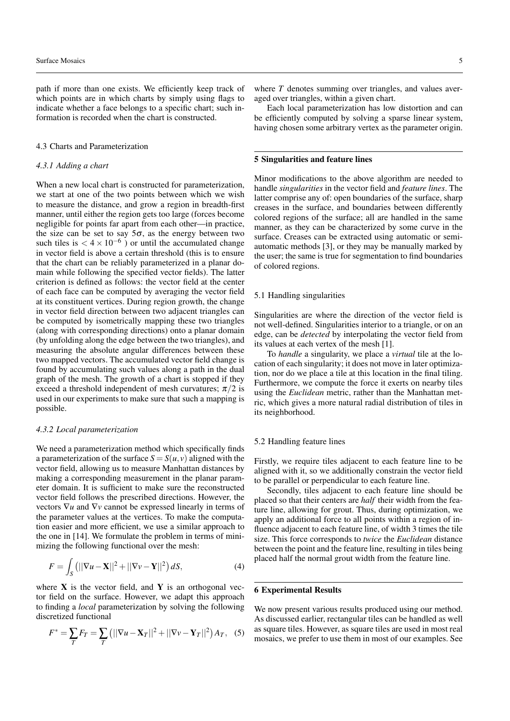path if more than one exists. We efficiently keep track of which points are in which charts by simply using flags to indicate whether a face belongs to a specific chart; such information is recorded when the chart is constructed.

## 4.3 Charts and Parameterization

## *4.3.1 Adding a chart*

When a new local chart is constructed for parameterization. we start at one of the two points between which we wish to measure the distance, and grow a region in breadth-first manner, until either the region gets too large (forces become negligible for points far apart from each other—in practice, the size can be set to say  $5\sigma$ , as the energy between two such tiles is  $< 4 \times 10^{-6}$ ) or until the accumulated change in vector field is above a certain threshold (this is to ensure that the chart can be reliably parameterized in a planar domain while following the specified vector fields). The latter criterion is defined as follows: the vector field at the center of each face can be computed by averaging the vector field at its constituent vertices. During region growth, the change in vector field direction between two adjacent triangles can be computed by isometrically mapping these two triangles (along with corresponding directions) onto a planar domain (by unfolding along the edge between the two triangles), and measuring the absolute angular differences between these two mapped vectors. The accumulated vector field change is found by accumulating such values along a path in the dual graph of the mesh. The growth of a chart is stopped if they exceed a threshold independent of mesh curvatures;  $\pi/2$  is used in our experiments to make sure that such a mapping is possible.

#### *4.3.2 Local parameterization*

We need a parameterization method which specifically finds a parameterization of the surface  $S = S(u, v)$  aligned with the vector field, allowing us to measure Manhattan distances by making a corresponding measurement in the planar parameter domain. It is sufficient to make sure the reconstructed vector field follows the prescribed directions. However, the vectors ∇*u* and ∇*v* cannot be expressed linearly in terms of the parameter values at the vertices. To make the computation easier and more efficient, we use a similar approach to the one in [14]. We formulate the problem in terms of minimizing the following functional over the mesh:

$$
F = \int_{S} \left( ||\nabla u - \mathbf{X}||^2 + ||\nabla v - \mathbf{Y}||^2 \right) dS,
$$
 (4)

where  $X$  is the vector field, and  $Y$  is an orthogonal vector field on the surface. However, we adapt this approach to finding a *local* parameterization by solving the following discretized functional

$$
F^* = \sum_T F_T = \sum_T (||\nabla u - \mathbf{X}_T||^2 + ||\nabla v - \mathbf{Y}_T||^2) A_T, \quad (5)
$$

where *T* denotes summing over triangles, and values averaged over triangles, within a given chart.

Each local parameterization has low distortion and can be efficiently computed by solving a sparse linear system, having chosen some arbitrary vertex as the parameter origin.

## 5 Singularities and feature lines

Minor modifications to the above algorithm are needed to handle *singularities* in the vector field and *feature lines*. The latter comprise any of: open boundaries of the surface, sharp creases in the surface, and boundaries between differently colored regions of the surface; all are handled in the same manner, as they can be characterized by some curve in the surface. Creases can be extracted using automatic or semiautomatic methods [3], or they may be manually marked by the user; the same is true for segmentation to find boundaries of colored regions.

#### 5.1 Handling singularities

Singularities are where the direction of the vector field is not well-defined. Singularities interior to a triangle, or on an edge, can be *detected* by interpolating the vector field from its values at each vertex of the mesh [1].

To *handle* a singularity, we place a *virtual* tile at the location of each singularity; it does not move in later optimization, nor do we place a tile at this location in the final tiling. Furthermore, we compute the force it exerts on nearby tiles using the *Euclidean* metric, rather than the Manhattan metric, which gives a more natural radial distribution of tiles in its neighborhood.

## 5.2 Handling feature lines

Firstly, we require tiles adjacent to each feature line to be aligned with it, so we additionally constrain the vector field to be parallel or perpendicular to each feature line.

Secondly, tiles adjacent to each feature line should be placed so that their centers are *half* their width from the feature line, allowing for grout. Thus, during optimization, we apply an additional force to all points within a region of influence adjacent to each feature line, of width 3 times the tile size. This force corresponds to *twice* the *Euclidean* distance between the point and the feature line, resulting in tiles being placed half the normal grout width from the feature line.

## 6 Experimental Results

We now present various results produced using our method. As discussed earlier, rectangular tiles can be handled as well as square tiles. However, as square tiles are used in most real mosaics, we prefer to use them in most of our examples. See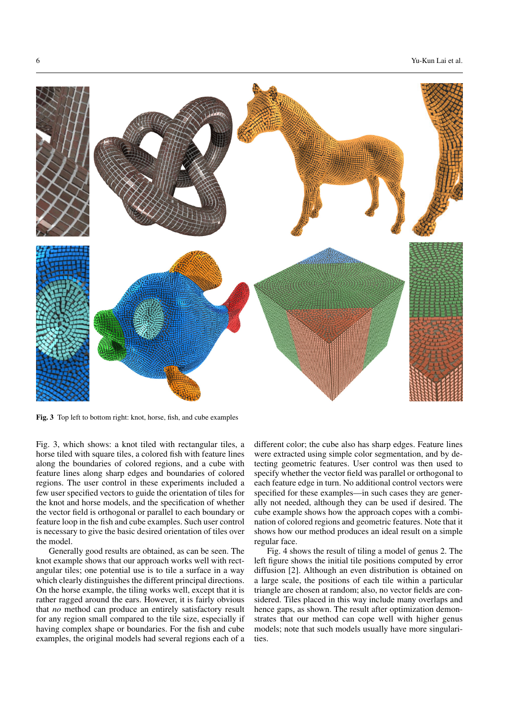

Fig. 3 Top left to bottom right: knot, horse, fish, and cube examples

Fig. 3, which shows: a knot tiled with rectangular tiles, a horse tiled with square tiles, a colored fish with feature lines along the boundaries of colored regions, and a cube with feature lines along sharp edges and boundaries of colored regions. The user control in these experiments included a few user specified vectors to guide the orientation of tiles for the knot and horse models, and the specification of whether the vector field is orthogonal or parallel to each boundary or feature loop in the fish and cube examples. Such user control is necessary to give the basic desired orientation of tiles over the model.

Generally good results are obtained, as can be seen. The knot example shows that our approach works well with rectangular tiles; one potential use is to tile a surface in a way which clearly distinguishes the different principal directions. On the horse example, the tiling works well, except that it is rather ragged around the ears. However, it is fairly obvious that *no* method can produce an entirely satisfactory result for any region small compared to the tile size, especially if having complex shape or boundaries. For the fish and cube examples, the original models had several regions each of a

different color; the cube also has sharp edges. Feature lines were extracted using simple color segmentation, and by detecting geometric features. User control was then used to specify whether the vector field was parallel or orthogonal to each feature edge in turn. No additional control vectors were specified for these examples—in such cases they are generally not needed, although they can be used if desired. The cube example shows how the approach copes with a combination of colored regions and geometric features. Note that it shows how our method produces an ideal result on a simple regular face.

Fig. 4 shows the result of tiling a model of genus 2. The left figure shows the initial tile positions computed by error diffusion [2]. Although an even distribution is obtained on a large scale, the positions of each tile within a particular triangle are chosen at random; also, no vector fields are considered. Tiles placed in this way include many overlaps and hence gaps, as shown. The result after optimization demonstrates that our method can cope well with higher genus models; note that such models usually have more singularities.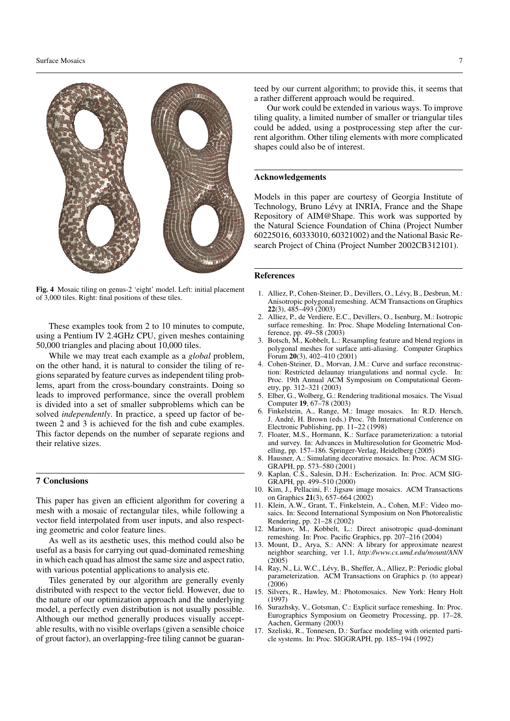

Fig. 4 Mosaic tiling on genus-2 'eight' model. Left: initial placement of 3,000 tiles. Right: final positions of these tiles.

These examples took from 2 to 10 minutes to compute, using a Pentium IV 2.4GHz CPU, given meshes containing 50,000 triangles and placing about 10,000 tiles.

While we may treat each example as a *global* problem, on the other hand, it is natural to consider the tiling of regions separated by feature curves as independent tiling problems, apart from the cross-boundary constraints. Doing so leads to improved performance, since the overall problem is divided into a set of smaller subproblems which can be solved *independently*. In practice, a speed up factor of between 2 and 3 is achieved for the fish and cube examples. This factor depends on the number of separate regions and their relative sizes.

## 7 Conclusions

This paper has given an efficient algorithm for covering a mesh with a mosaic of rectangular tiles, while following a vector field interpolated from user inputs, and also respecting geometric and color feature lines.

As well as its aesthetic uses, this method could also be useful as a basis for carrying out quad-dominated remeshing in which each quad has almost the same size and aspect ratio, with various potential applications to analysis etc.

Tiles generated by our algorithm are generally evenly distributed with respect to the vector field. However, due to the nature of our optimization approach and the underlying model, a perfectly even distribution is not usually possible. Although our method generally produces visually acceptable results, with no visible overlaps (given a sensible choice of grout factor), an overlapping-free tiling cannot be guaran-

Our work could be extended in various ways. To improve tiling quality, a limited number of smaller or triangular tiles could be added, using a postprocessing step after the current algorithm. Other tiling elements with more complicated shapes could also be of interest.

## Acknowledgements

Models in this paper are courtesy of Georgia Institute of Technology, Bruno Lévy at INRIA, France and the Shape Repository of AIM@Shape. This work was supported by the Natural Science Foundation of China (Project Number 60225016, 60333010, 60321002) and the National Basic Research Project of China (Project Number 2002CB312101).

## References

- 1. Alliez, P., Cohen-Steiner, D., Devillers, O., Lévy, B., Desbrun, M.: Anisotropic polygonal remeshing. ACM Transactions on Graphics 22(3), 485–493 (2003)
- 2. Alliez, P., de Verdiere, E.C., Devillers, O., Isenburg, M.: Isotropic surface remeshing. In: Proc. Shape Modeling International Conference, pp. 49–58 (2003)
- 3. Botsch, M., Kobbelt, L.: Resampling feature and blend regions in polygonal meshes for surface anti-aliasing. Computer Graphics Forum 20(3), 402–410 (2001)
- 4. Cohen-Steiner, D., Morvan, J.M.: Curve and surface reconstruction: Restricted delaunay triangulations and normal cycle. In: Proc. 19th Annual ACM Symposium on Computational Geometry, pp. 312–321 (2003)
- 5. Elber, G., Wolberg, G.: Rendering traditional mosaics. The Visual Computer 19, 67–78 (2003)
- 6. Finkelstein, A., Range, M.: Image mosaics. In: R.D. Hersch, J. André, H. Brown (eds.) Proc. 7th International Conference on Electronic Publishing, pp. 11–22 (1998)
- 7. Floater, M.S., Hormann, K.: Surface parameterization: a tutorial and survey. In: Advances in Multiresolution for Geometric Modelling, pp. 157–186. Springer-Verlag, Heidelberg (2005)
- 8. Hausner, A.: Simulating decorative mosaics. In: Proc. ACM SIG-GRAPH, pp. 573–580 (2001)
- 9. Kaplan, C.S., Salesin, D.H.: Escherization. In: Proc. ACM SIG-GRAPH, pp. 499–510 (2000)
- 10. Kim, J., Pellacini, F.: Jigsaw image mosaics. ACM Transactions on Graphics 21(3), 657–664 (2002)
- 11. Klein, A.W., Grant, T., Finkelstein, A., Cohen, M.F.: Video mosaics. In: Second International Symposium on Non Photorealistic Rendering, pp. 21–28 (2002)
- 12. Marinov, M., Kobbelt, L.: Direct anisotropic quad-dominant remeshing. In: Proc. Pacific Graphics, pp. 207–216 (2004)
- 13. Mount, D., Arya, S.: ANN: A library for approximate nearest neighbor searching, ver 1.1, *http://www.cs.umd.edu/mount/ANN* (2005)
- 14. Ray, N., Li, W.C., Lévy, B., Sheffer, A., Alliez, P.: Periodic global parameterization. ACM Transactions on Graphics p. (to appear)  $(2006)$
- 15. Silvers, R., Hawley, M.: Photomosaics. New York: Henry Holt (1997)
- 16. Surazhsky, V., Gotsman, C.: Explicit surface remeshing. In: Proc. Eurographics Symposium on Geometry Processing, pp. 17–28. Aachen, Germany (2003)
- 17. Szeliski, R., Tonnesen, D.: Surface modeling with oriented particle systems. In: Proc. SIGGRAPH, pp. 185–194 (1992)